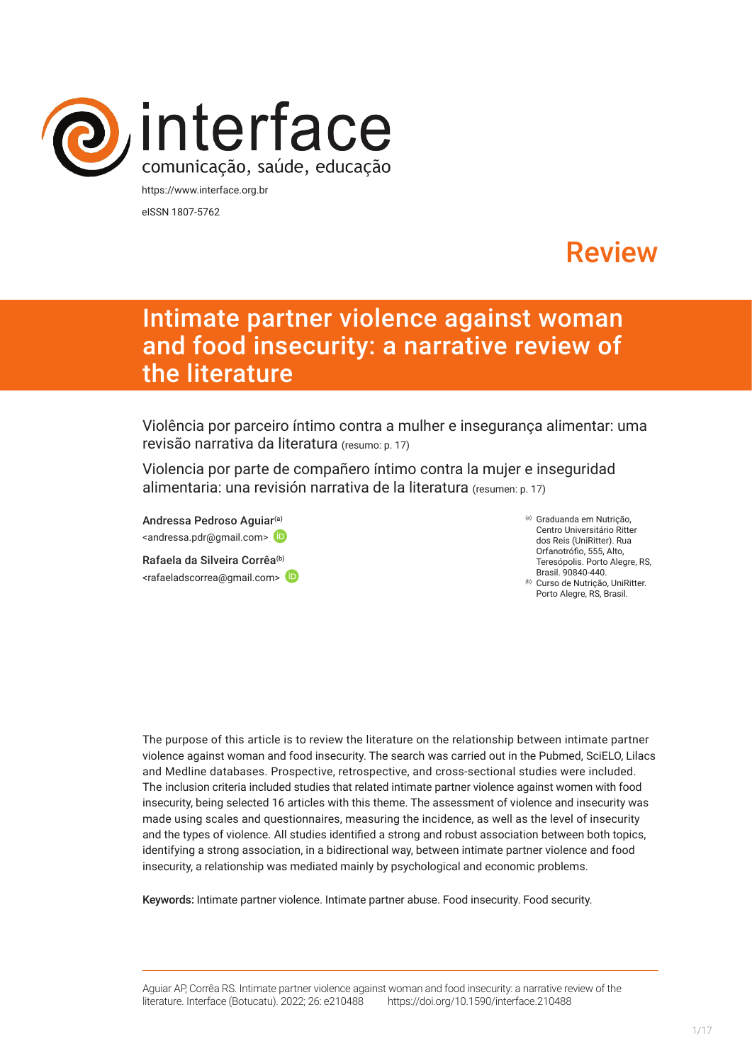

eISSN 1807-5762

# Review

# Intimate partner violence against woman and food insecurity: a narrative review of the literature

Violência por parceiro íntimo contra a mulher e insegurança alimentar: uma revisão narrativa da literatura (resumo: p. 17)

Violencia por parte de compañero íntimo contra la mujer e inseguridad alimentaria: una revisión narrativa de la literatura (resumen: p. 17)

And[r](https://orcid.org/0000-0002-9544-5736)essa Pedroso Aguiar<sup>(a)</sup> <andressa.pdr@gmail.com> (D

Rafaela da Silveira Corrêa<sup>(b)</sup> <rafaeladscorrea@gmail.com> (a) Graduanda em Nutrição, Centro Universitário Ritter dos Reis (UniRitter). Rua Orfanotrófio, 555, Alto, Teresópolis. Porto Alegre, RS, Brasil. 90840-440.

(b) Curso de Nutrição, UniRitter. Porto Alegre, RS, Brasil.

The purpose of this article is to review the literature on the relationship between intimate partner violence against woman and food insecurity. The search was carried out in the Pubmed, SciELO, Lilacs and Medline databases. Prospective, retrospective, and cross-sectional studies were included. The inclusion criteria included studies that related intimate partner violence against women with food insecurity, being selected 16 articles with this theme. The assessment of violence and insecurity was made using scales and questionnaires, measuring the incidence, as well as the level of insecurity and the types of violence. All studies identified a strong and robust association between both topics, identifying a strong association, in a bidirectional way, between intimate partner violence and food insecurity, a relationship was mediated mainly by psychological and economic problems.

Keywords: Intimate partner violence. Intimate partner abuse. Food insecurity. Food security.

Aguiar AP, Corrêa RS. Intimate partner violence against woman and food insecurity: a narrative review of the literature. Interface (Botucatu). 2022; 26: e210488 [https://](https://10.11606/S1518-787.201805200XXXX)doi.org/10.1590/interface.210488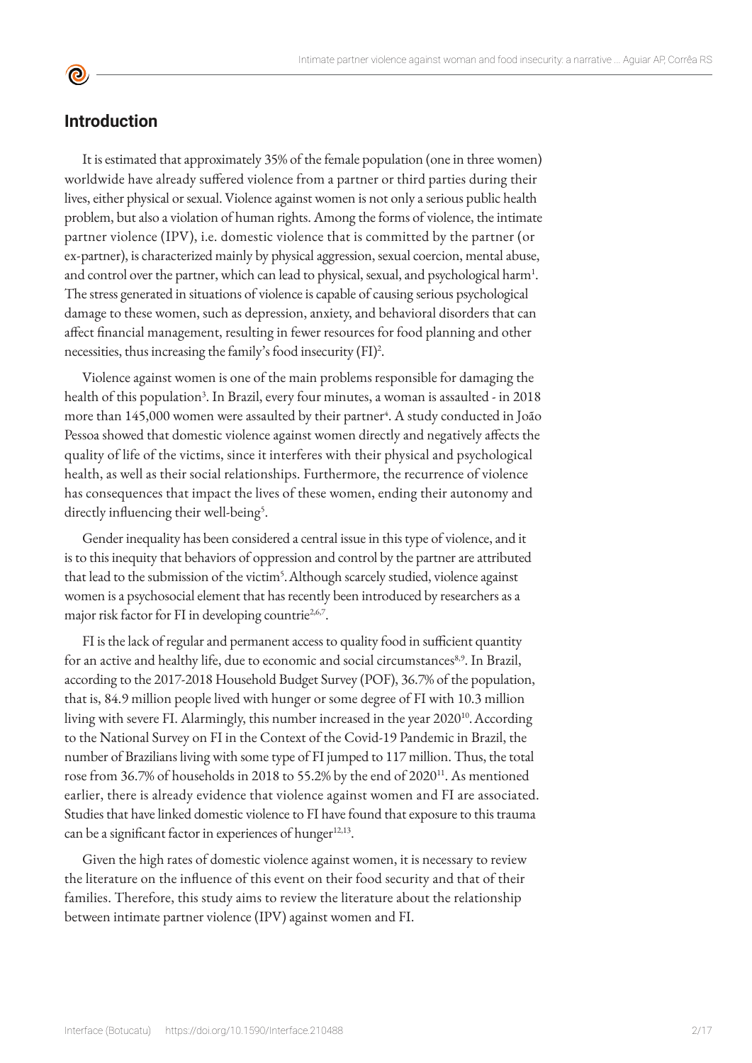**©** 

**Introduction**

It is estimated that approximately 35% of the female population (one in three women) worldwide have already suffered violence from a partner or third parties during their lives, either physical or sexual. Violence against women is not only a serious public health problem, but also a violation of human rights. Among the forms of violence, the intimate partner violence (IPV), i.e. domestic violence that is committed by the partner (or ex-partner), is characterized mainly by physical aggression, sexual coercion, mental abuse, and control over the partner, which can lead to physical, sexual, and psychological harm<sup>1</sup>. The stress generated in situations of violence is capable of causing serious psychological damage to these women, such as depression, anxiety, and behavioral disorders that can affect financial management, resulting in fewer resources for food planning and other necessities, thus increasing the family's food insecurity (FI)<sup>2</sup> .

Violence against women is one of the main problems responsible for damaging the health of this population<sup>3</sup>. In Brazil, every four minutes, a woman is assaulted - in 2018 more than 145,000 women were assaulted by their partner<sup>4</sup>. A study conducted in João Pessoa showed that domestic violence against women directly and negatively affects the quality of life of the victims, since it interferes with their physical and psychological health, as well as their social relationships. Furthermore, the recurrence of violence has consequences that impact the lives of these women, ending their autonomy and directly influencing their well-being<sup>5</sup>.

Gender inequality has been considered a central issue in this type of violence, and it is to this inequity that behaviors of oppression and control by the partner are attributed that lead to the submission of the victim<sup>5</sup>. Although scarcely studied, violence against women is a psychosocial element that has recently been introduced by researchers as a major risk factor for FI in developing countrie<sup>2,6,7</sup>.

FI is the lack of regular and permanent access to quality food in sufficient quantity for an active and healthy life, due to economic and social circumstances<sup>8,9</sup>. In Brazil, according to the 2017-2018 Household Budget Survey (POF), 36.7% of the population, that is, 84.9 million people lived with hunger or some degree of FI with 10.3 million living with severe FI. Alarmingly, this number increased in the year 2020<sup>10</sup>. According to the National Survey on FI in the Context of the Covid-19 Pandemic in Brazil, the number of Brazilians living with some type of FI jumped to 117 million. Thus, the total rose from 36.7% of households in 2018 to 55.2% by the end of 2020<sup>11</sup>. As mentioned earlier, there is already evidence that violence against women and FI are associated. Studies that have linked domestic violence to FI have found that exposure to this trauma can be a significant factor in experiences of hunger $12,13$ .

Given the high rates of domestic violence against women, it is necessary to review the literature on the influence of this event on their food security and that of their families. Therefore, this study aims to review the literature about the relationship between intimate partner violence (IPV) against women and FI.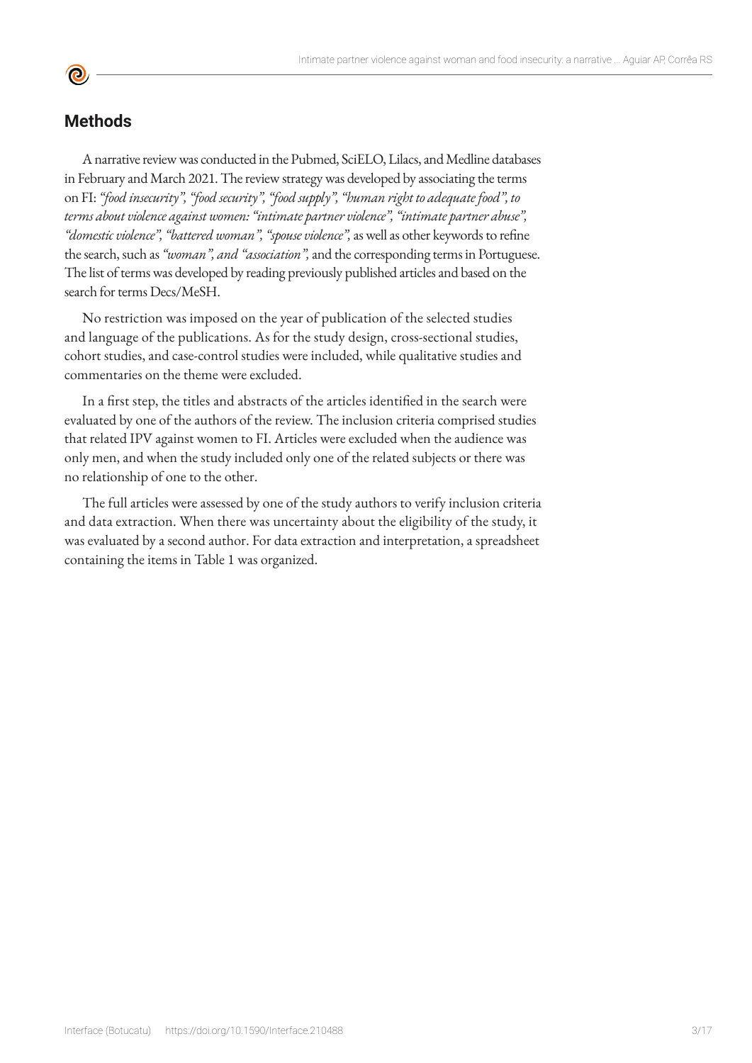# **Methods**

A narrative review was conducted in the Pubmed, SciELO, Lilacs, and Medline databases in February and March 2021. The review strategy was developed by associating the terms on FI: *"food insecurity", "food security", "food supply", "human right to adequate food", to terms about violence against women: "intimate partner violence", "intimate partner abuse", "domestic violence", "battered woman", "spouse violence",* as well as other keywords to refine the search, such as *"woman", and "association",* and the corresponding terms in Portuguese. The list of terms was developed by reading previously published articles and based on the search for terms Decs/MeSH.

No restriction was imposed on the year of publication of the selected studies and language of the publications. As for the study design, cross-sectional studies, cohort studies, and case-control studies were included, while qualitative studies and commentaries on the theme were excluded.

In a first step, the titles and abstracts of the articles identified in the search were evaluated by one of the authors of the review. The inclusion criteria comprised studies that related IPV against women to FI. Articles were excluded when the audience was only men, and when the study included only one of the related subjects or there was no relationship of one to the other.

The full articles were assessed by one of the study authors to verify inclusion criteria and data extraction. When there was uncertainty about the eligibility of the study, it was evaluated by a second author. For data extraction and interpretation, a spreadsheet containing the items in Table 1 was organized.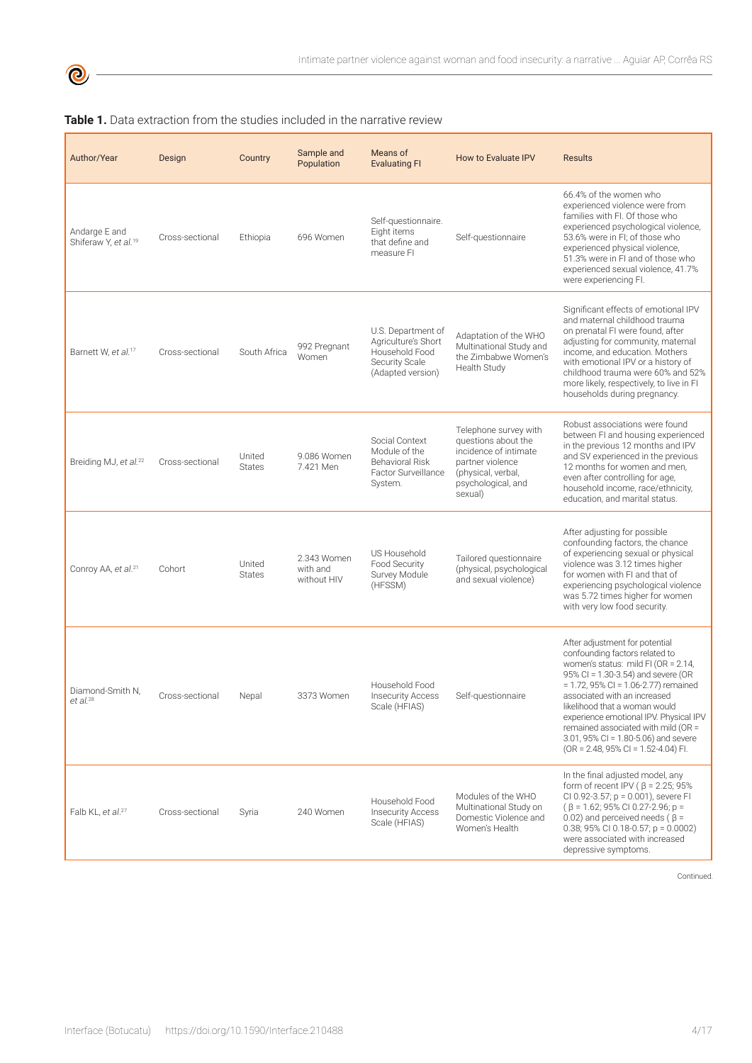| Author/Year                                       | Design          | Country                 | Sample and<br>Population               | Means of<br><b>Evaluating FI</b>                                                                   | How to Evaluate IPV                                                                                                                              | <b>Results</b>                                                                                                                                                                                                                                                                                                                                                                                                                    |
|---------------------------------------------------|-----------------|-------------------------|----------------------------------------|----------------------------------------------------------------------------------------------------|--------------------------------------------------------------------------------------------------------------------------------------------------|-----------------------------------------------------------------------------------------------------------------------------------------------------------------------------------------------------------------------------------------------------------------------------------------------------------------------------------------------------------------------------------------------------------------------------------|
| Andarge E and<br>Shiferaw Y, et al. <sup>19</sup> | Cross-sectional | Ethiopia                | 696 Women                              | Self-questionnaire.<br>Eight items<br>that define and<br>measure FI                                | Self-questionnaire                                                                                                                               | 66.4% of the women who<br>experienced violence were from<br>families with FI. Of those who<br>experienced psychological violence,<br>53.6% were in FI; of those who<br>experienced physical violence,<br>51.3% were in FI and of those who<br>experienced sexual violence, 41.7%<br>were experiencing Fl.                                                                                                                         |
| Barnett W, et al. <sup>17</sup>                   | Cross-sectional | South Africa            | 992 Pregnant<br>Women                  | U.S. Department of<br>Agriculture's Short<br>Household Food<br>Security Scale<br>(Adapted version) | Adaptation of the WHO<br>Multinational Study and<br>the Zimbabwe Women's<br>Health Study                                                         | Significant effects of emotional IPV<br>and maternal childhood trauma<br>on prenatal FI were found, after<br>adjusting for community, maternal<br>income, and education. Mothers<br>with emotional IPV or a history of<br>childhood trauma were 60% and 52%<br>more likely, respectively, to live in FI<br>households during pregnancy.                                                                                           |
| Breiding MJ, et al. <sup>22</sup>                 | Cross-sectional | United<br><b>States</b> | 9.086 Women<br>7.421 Men               | Social Context<br>Module of the<br><b>Behavioral Risk</b><br>Factor Surveillance<br>System.        | Telephone survey with<br>questions about the<br>incidence of intimate<br>partner violence<br>(physical, verbal,<br>psychological, and<br>sexual) | Robust associations were found<br>between FI and housing experienced<br>in the previous 12 months and IPV<br>and SV experienced in the previous<br>12 months for women and men,<br>even after controlling for age,<br>household income, race/ethnicity,<br>education, and marital status.                                                                                                                                         |
| Conroy AA, et al. <sup>21</sup>                   | Cohort          | United<br><b>States</b> | 2.343 Women<br>with and<br>without HIV | US Household<br>Food Security<br>Survey Module<br>(HFSSM)                                          | Tailored questionnaire<br>(physical, psychological<br>and sexual violence)                                                                       | After adjusting for possible<br>confounding factors, the chance<br>of experiencing sexual or physical<br>violence was 3.12 times higher<br>for women with FI and that of<br>experiencing psychological violence<br>was 5.72 times higher for women<br>with very low food security.                                                                                                                                                |
| Diamond-Smith N.<br>et al. <sup>28</sup>          | Cross-sectional | Nepal                   | 3373 Women                             | Household Food<br><b>Insecurity Access</b><br>Scale (HFIAS)                                        | Self-questionnaire                                                                                                                               | After adjustment for potential<br>confounding factors related to<br>women's status: mild FI (OR = 2.14,<br>95% CI = $1.30 - 3.54$ ) and severe (OR<br>$= 1.72$ , 95% CI = 1.06-2.77) remained<br>associated with an increased<br>likelihood that a woman would<br>experience emotional IPV. Physical IPV<br>remained associated with mild (OR =<br>3.01, 95% CI = 1.80-5.06) and severe<br>$(OR = 2.48, 95\% CI = 1.52-4.04) FI.$ |
| Falb KL, et al. <sup>27</sup>                     | Cross-sectional | Syria                   | 240 Women                              | Household Food<br><b>Insecurity Access</b><br>Scale (HFIAS)                                        | Modules of the WHO<br>Multinational Study on<br>Domestic Violence and<br>Women's Health                                                          | In the final adjusted model, any<br>form of recent IPV ( $\beta$ = 2.25; 95%<br>CI 0.92-3.57; p = 0.001), severe FI<br>$(\beta = 1.62; 95\% \text{ C}10.27 - 2.96; p =$<br>0.02) and perceived needs ( $\beta$ =<br>0.38; 95% CI 0.18-0.57; $p = 0.0002$ )<br>were associated with increased<br>depressive symptoms.                                                                                                              |

### **Table 1.** Data extraction from the studies included in the narrative review

Continued.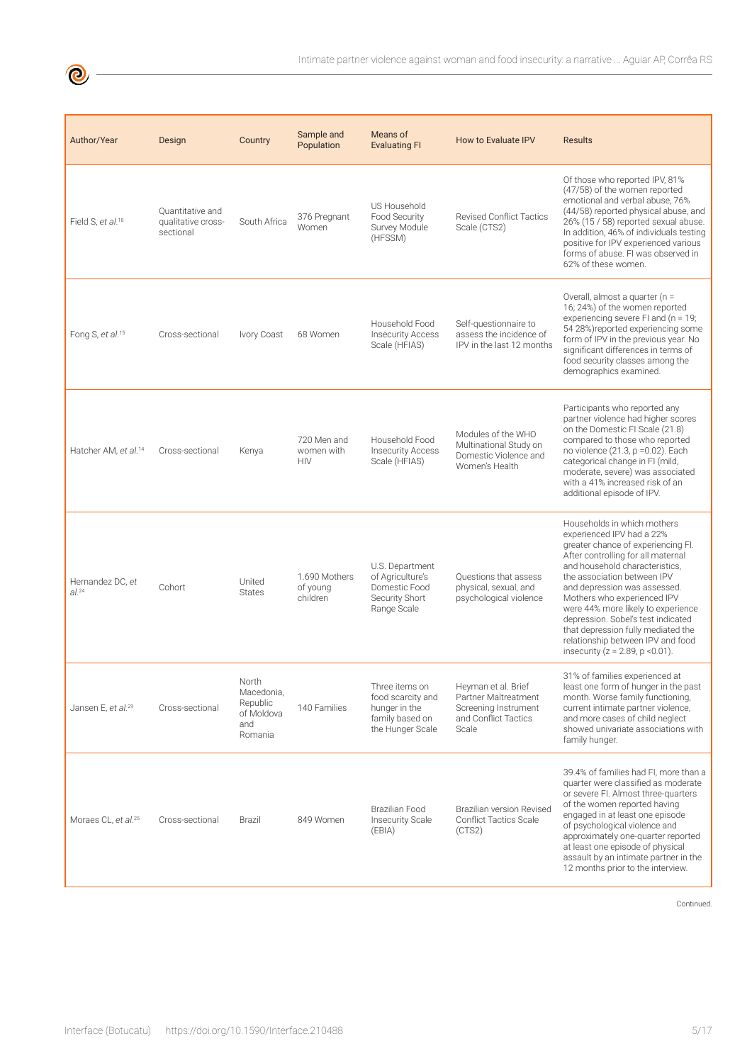Intimate partner violence against woman and food insecurity: a narrative ... Aguiar AP, Corrêa RS

| Author/Year                      | Design                                              | Country                                                         | Sample and<br>Population                | Means of<br><b>Evaluating FI</b>                                                            | <b>How to Evaluate IPV</b>                                                                           | <b>Results</b>                                                                                                                                                                                                                                                                                                                                                                                                                                                         |
|----------------------------------|-----------------------------------------------------|-----------------------------------------------------------------|-----------------------------------------|---------------------------------------------------------------------------------------------|------------------------------------------------------------------------------------------------------|------------------------------------------------------------------------------------------------------------------------------------------------------------------------------------------------------------------------------------------------------------------------------------------------------------------------------------------------------------------------------------------------------------------------------------------------------------------------|
| Field S, et al. <sup>18</sup>    | Quantitative and<br>qualitative cross-<br>sectional | South Africa                                                    | 376 Pregnant<br>Women                   | US Household<br>Food Security<br>Survey Module<br>(HFSSM)                                   | <b>Revised Conflict Tactics</b><br>Scale (CTS2)                                                      | Of those who reported IPV, 81%<br>(47/58) of the women reported<br>emotional and verbal abuse, 76%<br>(44/58) reported physical abuse, and<br>26% (15 / 58) reported sexual abuse.<br>In addition, 46% of individuals testing<br>positive for IPV experienced various<br>forms of abuse. FI was observed in<br>62% of these women.                                                                                                                                     |
| Fong S, et al. <sup>15</sup>     | Cross-sectional                                     | Ivory Coast                                                     | 68 Women                                | Household Food<br><b>Insecurity Access</b><br>Scale (HFIAS)                                 | Self-questionnaire to<br>assess the incidence of<br>IPV in the last 12 months                        | Overall, almost a quarter (n =<br>16; 24%) of the women reported<br>experiencing severe FI and (n = 19;<br>54 28%)reported experiencing some<br>form of IPV in the previous year. No<br>significant differences in terms of<br>food security classes among the<br>demographics examined.                                                                                                                                                                               |
| Hatcher AM, et al. <sup>14</sup> | Cross-sectional                                     | Kenya                                                           | 720 Men and<br>women with<br><b>HIV</b> | Household Food<br><b>Insecurity Access</b><br>Scale (HFIAS)                                 | Modules of the WHO<br>Multinational Study on<br>Domestic Violence and<br>Women's Health              | Participants who reported any<br>partner violence had higher scores<br>on the Domestic FI Scale (21.8)<br>compared to those who reported<br>no violence (21.3, p = 0.02). Each<br>categorical change in FI (mild,<br>moderate, severe) was associated<br>with a 41% increased risk of an<br>additional episode of IPV.                                                                                                                                                 |
| Hernandez DC, et<br>$al.^{24}$   | Cohort                                              | United<br><b>States</b>                                         | 1.690 Mothers<br>of young<br>children   | U.S. Department<br>of Agriculture's<br>Domestic Food<br>Security Short<br>Range Scale       | Questions that assess<br>physical, sexual, and<br>psychological violence                             | Households in which mothers<br>experienced IPV had a 22%<br>greater chance of experiencing Fl.<br>After controlling for all maternal<br>and household characteristics,<br>the association between IPV<br>and depression was assessed.<br>Mothers who experienced IPV<br>were 44% more likely to experience<br>depression. Sobel's test indicated<br>that depression fully mediated the<br>relationship between IPV and food<br>insecurity ( $z = 2.89$ , $p < 0.01$ ). |
| Jansen E, et al. <sup>29</sup>   | Cross-sectional                                     | North<br>Macedonia,<br>Republic<br>of Moldova<br>and<br>Romania | 140 Families                            | Three items on<br>food scarcity and<br>hunger in the<br>family based on<br>the Hunger Scale | Heyman et al. Brief<br>Partner Maltreatment<br>Screening Instrument<br>and Conflict Tactics<br>Scale | 31% of families experienced at<br>least one form of hunger in the past<br>month. Worse family functioning,<br>current intimate partner violence,<br>and more cases of child neglect<br>showed univariate associations with<br>family hunger.                                                                                                                                                                                                                           |
| Moraes CL, et al. <sup>25</sup>  | Cross-sectional                                     | Brazil                                                          | 849 Women                               | Brazilian Food<br><b>Insecurity Scale</b><br>(EBIA)                                         | Brazilian version Revised<br><b>Conflict Tactics Scale</b><br>(CTS2)                                 | 39.4% of families had FI, more than a<br>quarter were classified as moderate<br>or severe FI. Almost three-quarters<br>of the women reported having<br>engaged in at least one episode<br>of psychological violence and<br>approximately one-quarter reported<br>at least one episode of physical<br>assault by an intimate partner in the<br>12 months prior to the interview.                                                                                        |

Continued.

 $\bigcirc$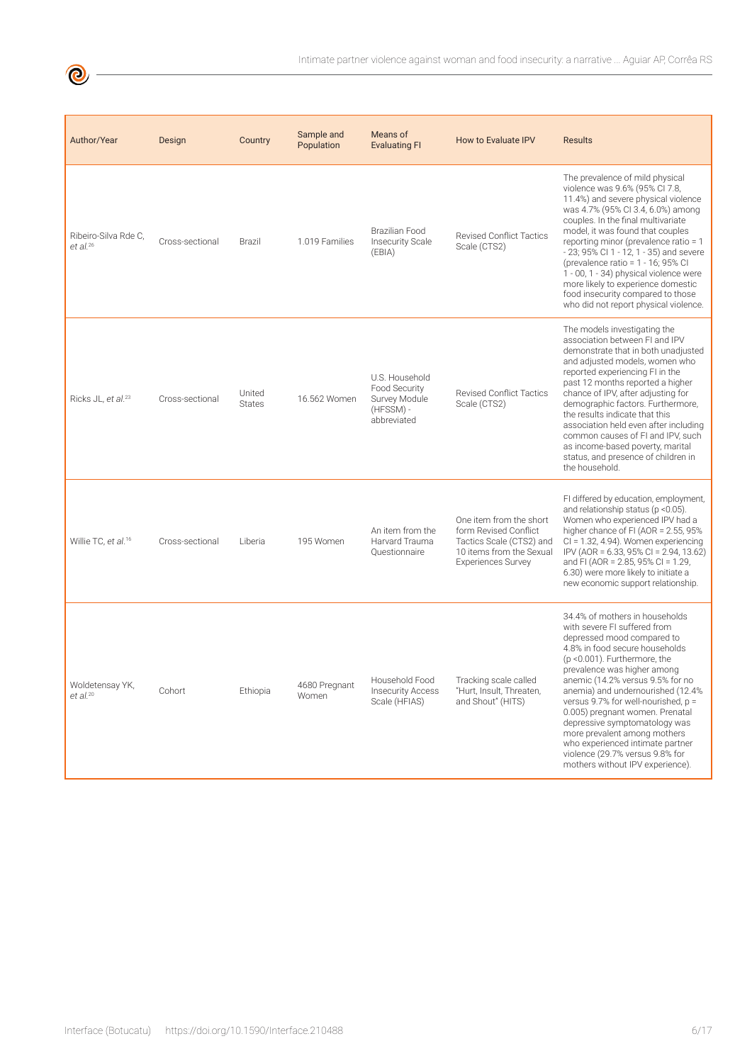| Author/Year                                    | Design          | Country                 | Sample and<br>Population | Means of<br><b>Evaluating FI</b>                                             | How to Evaluate IPV                                                                                                                   | <b>Results</b>                                                                                                                                                                                                                                                                                                                                                                                                                                                                                                                   |
|------------------------------------------------|-----------------|-------------------------|--------------------------|------------------------------------------------------------------------------|---------------------------------------------------------------------------------------------------------------------------------------|----------------------------------------------------------------------------------------------------------------------------------------------------------------------------------------------------------------------------------------------------------------------------------------------------------------------------------------------------------------------------------------------------------------------------------------------------------------------------------------------------------------------------------|
| Ribeiro-Silva Rde C.<br>$et$ al. <sup>26</sup> | Cross-sectional | Brazil                  | 1.019 Families           | Brazilian Food<br><b>Insecurity Scale</b><br>(EBIA)                          | <b>Revised Conflict Tactics</b><br>Scale (CTS2)                                                                                       | The prevalence of mild physical<br>violence was 9.6% (95% Cl 7.8,<br>11.4%) and severe physical violence<br>was 4.7% (95% CI 3.4, 6.0%) among<br>couples. In the final multivariate<br>model, it was found that couples<br>reporting minor (prevalence ratio = 1<br>- 23; 95% Cl 1 - 12, 1 - 35) and severe<br>(prevalence ratio = $1 - 16$ ; 95% CI<br>1 - 00, 1 - 34) physical violence were<br>more likely to experience domestic<br>food insecurity compared to those<br>who did not report physical violence.               |
| Ricks JL, et al. <sup>23</sup>                 | Cross-sectional | United<br><b>States</b> | 16.562 Women             | U.S. Household<br>Food Security<br>Survey Module<br>(HFSSM) -<br>abbreviated | <b>Revised Conflict Tactics</b><br>Scale (CTS2)                                                                                       | The models investigating the<br>association between FI and IPV<br>demonstrate that in both unadjusted<br>and adjusted models, women who<br>reported experiencing FI in the<br>past 12 months reported a higher<br>chance of IPV, after adjusting for<br>demographic factors. Furthermore,<br>the results indicate that this<br>association held even after including<br>common causes of FI and IPV, such<br>as income-based poverty, marital<br>status, and presence of children in<br>the household.                           |
| Willie TC, et al. <sup>16</sup>                | Cross-sectional | Liberia                 | 195 Women                | An item from the<br>Harvard Trauma<br>Questionnaire                          | One item from the short<br>form Revised Conflict<br>Tactics Scale (CTS2) and<br>10 items from the Sexual<br><b>Experiences Survey</b> | FI differed by education, employment,<br>and relationship status (p < 0.05).<br>Women who experienced IPV had a<br>higher chance of FI (AOR = 2.55, 95%<br>$Cl = 1.32, 4.94$ ). Women experiencing<br>IPV (AOR = 6.33, 95% CI = 2.94, 13.62)<br>and FI (AOR = 2.85, 95% CI = 1.29,<br>6.30) were more likely to initiate a<br>new economic support relationship.                                                                                                                                                                 |
| Woldetensay YK,<br>$et$ al. $20$               | Cohort          | Ethiopia                | 4680 Pregnant<br>Women   | Household Food<br><b>Insecurity Access</b><br>Scale (HFIAS)                  | Tracking scale called<br>"Hurt, Insult, Threaten,<br>and Shout" (HITS)                                                                | 34.4% of mothers in households<br>with severe FI suffered from<br>depressed mood compared to<br>4.8% in food secure households<br>$(p < 0.001)$ . Furthermore, the<br>prevalence was higher among<br>anemic (14.2% versus 9.5% for no<br>anemia) and undernourished (12.4%<br>versus 9.7% for well-nourished, p =<br>0.005) pregnant women. Prenatal<br>depressive symptomatology was<br>more prevalent among mothers<br>who experienced intimate partner<br>violence (29.7% versus 9.8% for<br>mothers without IPV experience). |

 $\bigcirc$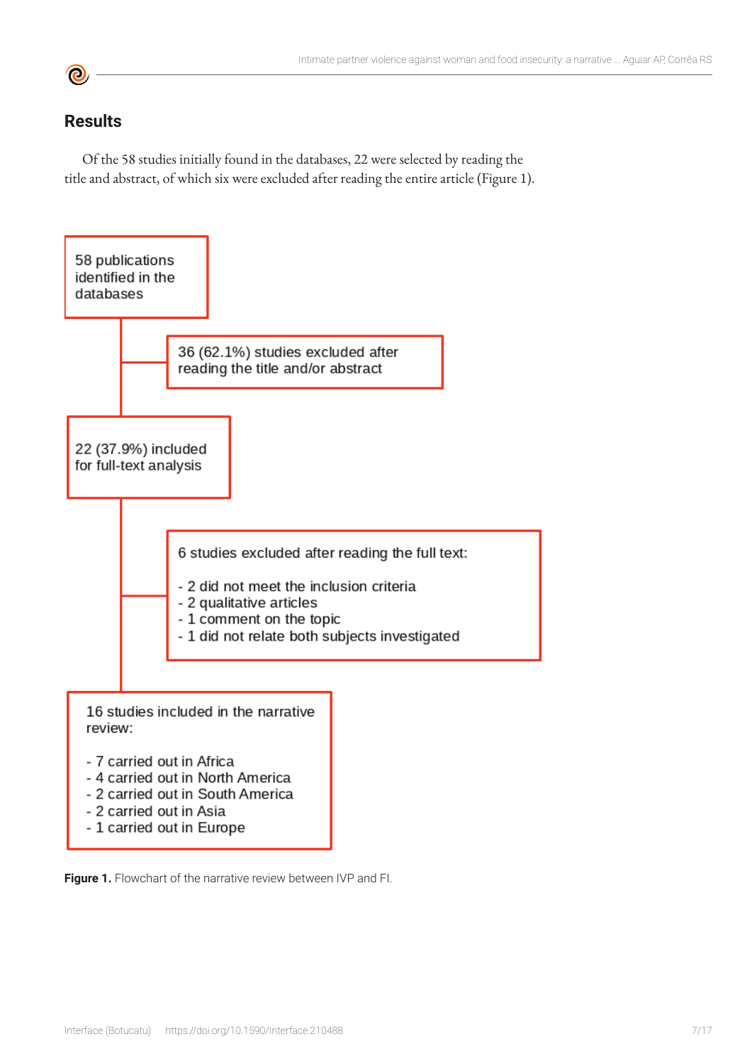

# **Results**

Of the 58 studies initially found in the databases, 22 were selected by reading the title and abstract, of which six were excluded after reading the entire article (Figure 1).



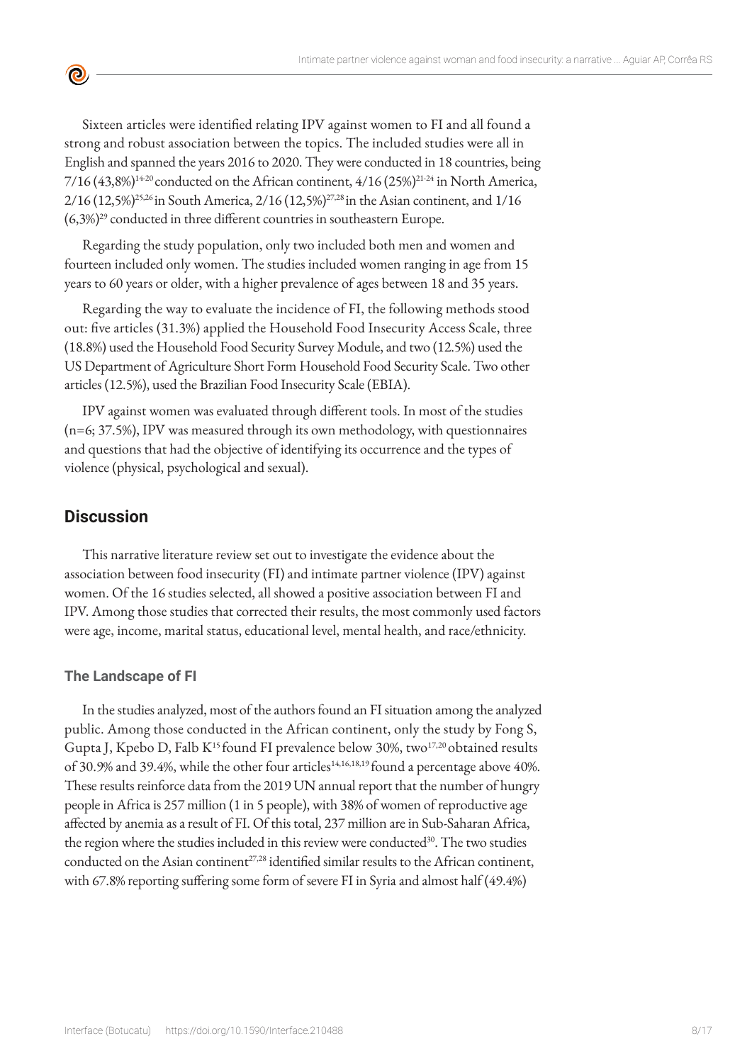Sixteen articles were identified relating IPV against women to FI and all found a strong and robust association between the topics. The included studies were all in English and spanned the years 2016 to 2020. They were conducted in 18 countries, being  $7/16$  (43,8%)<sup>14-20</sup> conducted on the African continent, 4/16 (25%)<sup>21-24</sup> in North America, 2/16 (12,5%)25,26 in South America, 2/16 (12,5%)27,28 in the Asian continent, and 1/16 (6,3%)29 conducted in three different countries in southeastern Europe.

Regarding the study population, only two included both men and women and fourteen included only women. The studies included women ranging in age from 15 years to 60 years or older, with a higher prevalence of ages between 18 and 35 years.

Regarding the way to evaluate the incidence of FI, the following methods stood out: five articles (31.3%) applied the Household Food Insecurity Access Scale, three (18.8%) used the Household Food Security Survey Module, and two (12.5%) used the US Department of Agriculture Short Form Household Food Security Scale. Two other articles (12.5%), used the Brazilian Food Insecurity Scale (EBIA).

IPV against women was evaluated through different tools. In most of the studies (n=6; 37.5%), IPV was measured through its own methodology, with questionnaires and questions that had the objective of identifying its occurrence and the types of violence (physical, psychological and sexual).

### **Discussion**

<u>ල</u>

This narrative literature review set out to investigate the evidence about the association between food insecurity (FI) and intimate partner violence (IPV) against women. Of the 16 studies selected, all showed a positive association between FI and IPV. Among those studies that corrected their results, the most commonly used factors were age, income, marital status, educational level, mental health, and race/ethnicity.

#### **The Landscape of FI**

In the studies analyzed, most of the authors found an FI situation among the analyzed public. Among those conducted in the African continent, only the study by Fong S, Gupta J, Kpebo D, Falb  $K^{15}$  found FI prevalence below 30%, two<sup>17,20</sup> obtained results of 30.9% and 39.4%, while the other four articles<sup>14,16,18,19</sup> found a percentage above 40%. These results reinforce data from the 2019 UN annual report that the number of hungry people in Africa is 257 million (1 in 5 people), with 38% of women of reproductive age affected by anemia as a result of FI. Of this total, 237 million are in Sub-Saharan Africa, the region where the studies included in this review were conducted<sup>30</sup>. The two studies conducted on the Asian continent<sup>27,28</sup> identified similar results to the African continent, with 67.8% reporting suffering some form of severe FI in Syria and almost half (49.4%)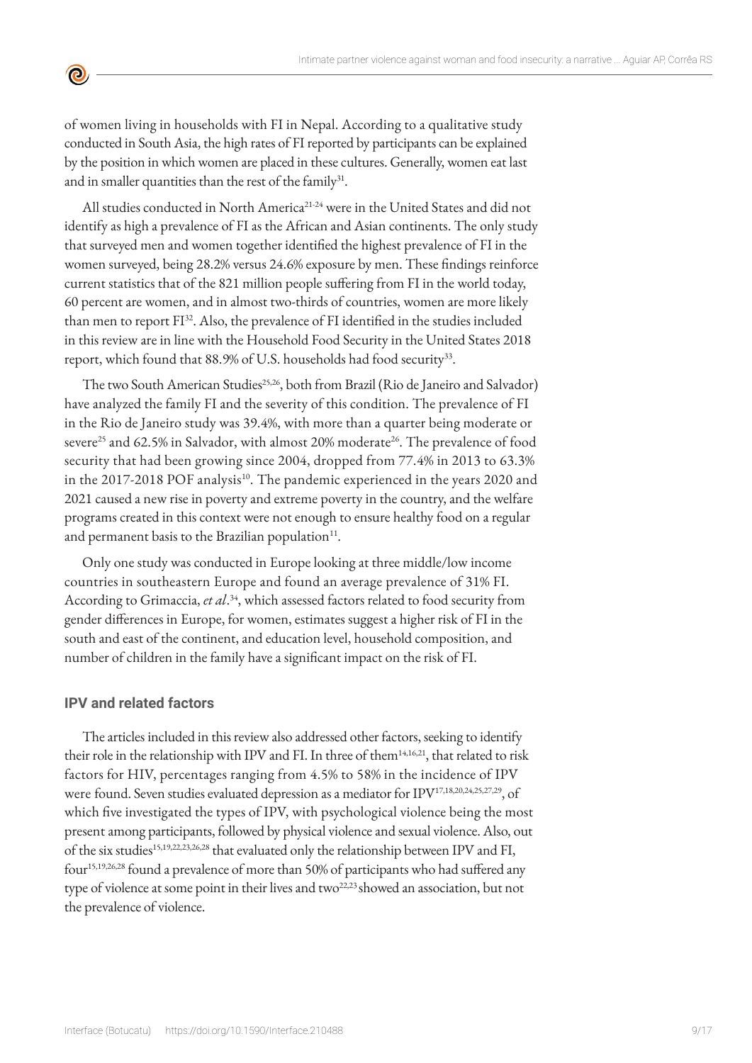of women living in households with FI in Nepal. According to a qualitative study conducted in South Asia, the high rates of FI reported by participants can be explained by the position in which women are placed in these cultures. Generally, women eat last and in smaller quantities than the rest of the family<sup>31</sup>.

All studies conducted in North America<sup>21-24</sup> were in the United States and did not identify as high a prevalence of FI as the African and Asian continents. The only study that surveyed men and women together identified the highest prevalence of FI in the women surveyed, being 28.2% versus 24.6% exposure by men. These findings reinforce current statistics that of the 821 million people suffering from FI in the world today, 60 percent are women, and in almost two-thirds of countries, women are more likely than men to report FI<sup>32</sup>. Also, the prevalence of FI identified in the studies included in this review are in line with the Household Food Security in the United States 2018 report, which found that 88.9% of U.S. households had food security<sup>33</sup>.

The two South American Studies<sup>25,26</sup>, both from Brazil (Rio de Janeiro and Salvador) have analyzed the family FI and the severity of this condition. The prevalence of FI in the Rio de Janeiro study was 39.4%, with more than a quarter being moderate or severe<sup>25</sup> and 62.5% in Salvador, with almost 20% moderate<sup>26</sup>. The prevalence of food security that had been growing since 2004, dropped from 77.4% in 2013 to 63.3% in the 2017-2018 POF analysis<sup>10</sup>. The pandemic experienced in the years 2020 and 2021 caused a new rise in poverty and extreme poverty in the country, and the welfare programs created in this context were not enough to ensure healthy food on a regular and permanent basis to the Brazilian population $11$ .

Only one study was conducted in Europe looking at three middle/low income countries in southeastern Europe and found an average prevalence of 31% FI. According to Grimaccia, *et al*. <sup>34</sup>, which assessed factors related to food security from gender differences in Europe, for women, estimates suggest a higher risk of FI in the south and east of the continent, and education level, household composition, and number of children in the family have a significant impact on the risk of FI.

#### **IPV and related factors**

 $\bullet$ 

The articles included in this review also addressed other factors, seeking to identify their role in the relationship with IPV and FI. In three of them<sup>14,16,21</sup>, that related to risk factors for HIV, percentages ranging from 4.5% to 58% in the incidence of IPV were found. Seven studies evaluated depression as a mediator for IPV17,18,20,24,25,27,29, of which five investigated the types of IPV, with psychological violence being the most present among participants, followed by physical violence and sexual violence. Also, out of the six studies15,19,22,23,26,28 that evaluated only the relationship between IPV and FI, four<sup>15,19,26,28</sup> found a prevalence of more than 50% of participants who had suffered any type of violence at some point in their lives and two<sup>22,23</sup> showed an association, but not the prevalence of violence.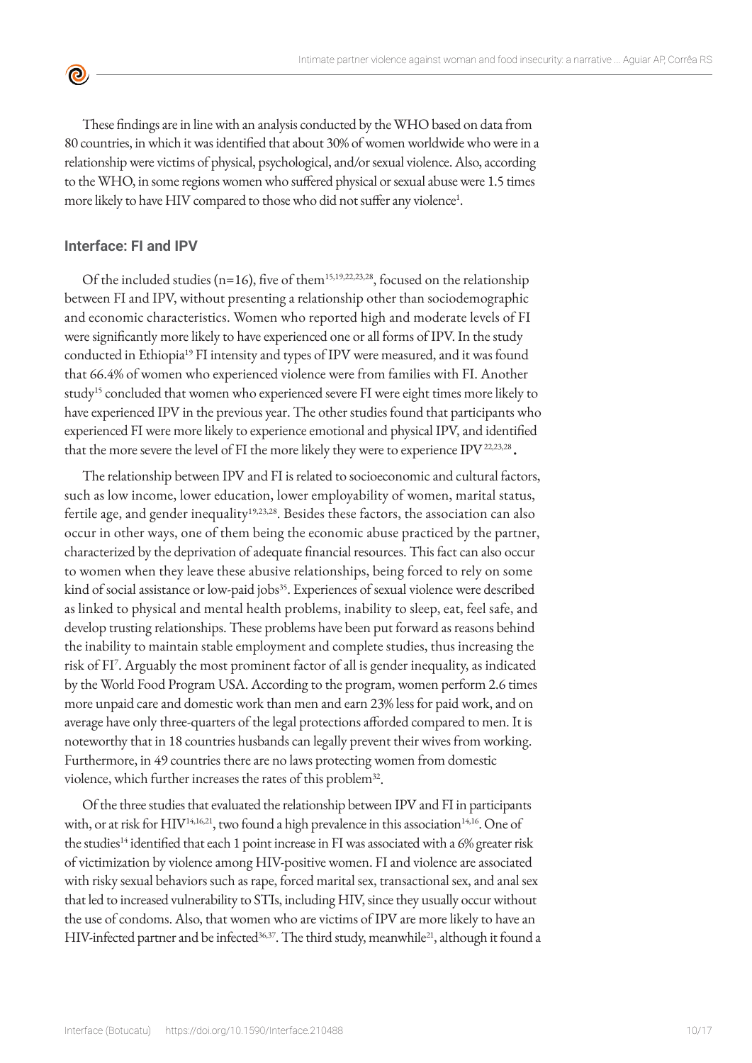These findings are in line with an analysis conducted by the WHO based on data from 80 countries, in which it was identified that about 30% of women worldwide who were in a relationship were victims of physical, psychological, and/or sexual violence. Also, according to the WHO, in some regions women who suffered physical or sexual abuse were 1.5 times more likely to have HIV compared to those who did not suffer any violence<sup>1</sup>.

#### **Interface: FI and IPV**

 $\bullet$ 

Of the included studies (n=16), five of them<sup>15,19,22,23,28</sup>, focused on the relationship between FI and IPV, without presenting a relationship other than sociodemographic and economic characteristics. Women who reported high and moderate levels of FI were significantly more likely to have experienced one or all forms of IPV. In the study conducted in Ethiopia<sup>19</sup> FI intensity and types of IPV were measured, and it was found that 66.4% of women who experienced violence were from families with FI. Another study<sup>15</sup> concluded that women who experienced severe FI were eight times more likely to have experienced IPV in the previous year. The other studies found that participants who experienced FI were more likely to experience emotional and physical IPV, and identified that the more severe the level of FI the more likely they were to experience IPV 22,23,28 **.**

The relationship between IPV and FI is related to socioeconomic and cultural factors, such as low income, lower education, lower employability of women, marital status, fertile age, and gender inequality<sup>19,23,28</sup>. Besides these factors, the association can also occur in other ways, one of them being the economic abuse practiced by the partner, characterized by the deprivation of adequate financial resources. This fact can also occur to women when they leave these abusive relationships, being forced to rely on some kind of social assistance or low-paid jobs<sup>35</sup>. Experiences of sexual violence were described as linked to physical and mental health problems, inability to sleep, eat, feel safe, and develop trusting relationships. These problems have been put forward as reasons behind the inability to maintain stable employment and complete studies, thus increasing the risk of FI<sup>7</sup> . Arguably the most prominent factor of all is gender inequality, as indicated by the World Food Program USA. According to the program, women perform 2.6 times more unpaid care and domestic work than men and earn 23% less for paid work, and on average have only three-quarters of the legal protections afforded compared to men. It is noteworthy that in 18 countries husbands can legally prevent their wives from working. Furthermore, in 49 countries there are no laws protecting women from domestic violence, which further increases the rates of this problem<sup>32</sup>.

Of the three studies that evaluated the relationship between IPV and FI in participants with, or at risk for HIV<sup>14,16,21</sup>, two found a high prevalence in this association<sup>14,16</sup>. One of the studies<sup>14</sup> identified that each 1 point increase in FI was associated with a 6% greater risk of victimization by violence among HIV-positive women. FI and violence are associated with risky sexual behaviors such as rape, forced marital sex, transactional sex, and anal sex that led to increased vulnerability to STIs, including HIV, since they usually occur without the use of condoms. Also, that women who are victims of IPV are more likely to have an HIV-infected partner and be infected<sup>36,37</sup>. The third study, meanwhile<sup>21</sup>, although it found a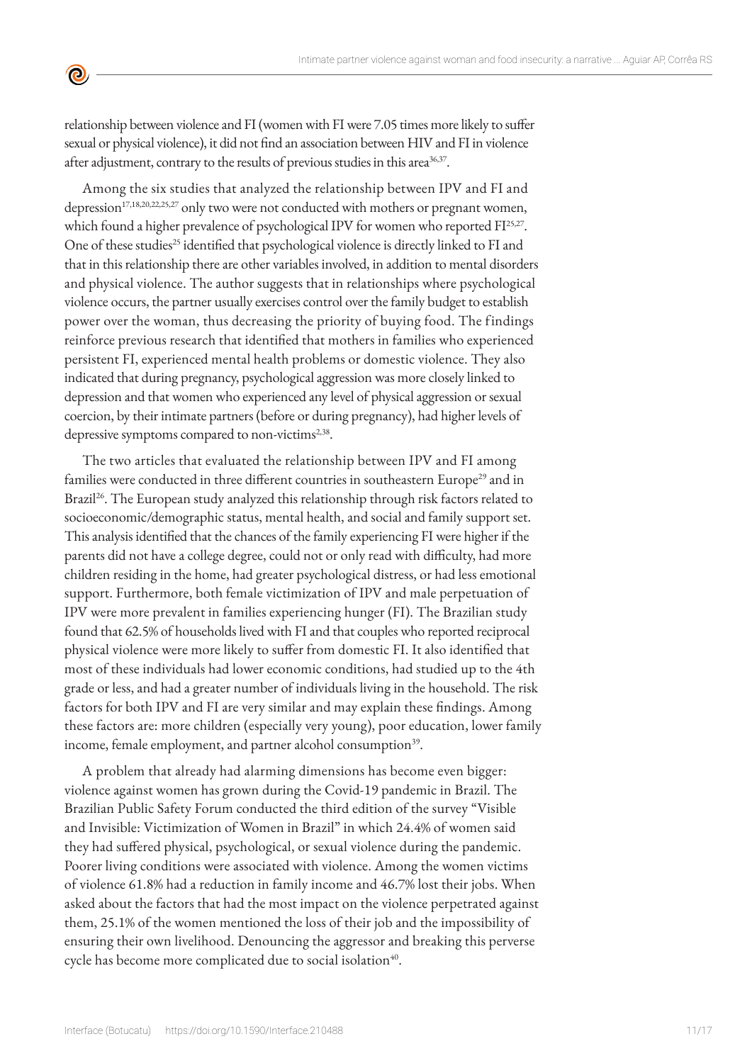

relationship between violence and FI (women with FI were 7.05 times more likely to suffer sexual or physical violence), it did not find an association between HIV and FI in violence after adjustment, contrary to the results of previous studies in this area<sup>36,37</sup>.

Among the six studies that analyzed the relationship between IPV and FI and depression<sup>17,18,20,22,25,27</sup> only two were not conducted with mothers or pregnant women, which found a higher prevalence of psychological IPV for women who reported FI<sup>25,27</sup>. One of these studies<sup>25</sup> identified that psychological violence is directly linked to FI and that in this relationship there are other variables involved, in addition to mental disorders and physical violence. The author suggests that in relationships where psychological violence occurs, the partner usually exercises control over the family budget to establish power over the woman, thus decreasing the priority of buying food. The findings reinforce previous research that identified that mothers in families who experienced persistent FI, experienced mental health problems or domestic violence. They also indicated that during pregnancy, psychological aggression was more closely linked to depression and that women who experienced any level of physical aggression or sexual coercion, by their intimate partners (before or during pregnancy), had higher levels of depressive symptoms compared to non-victims<sup>2,38</sup>.

The two articles that evaluated the relationship between IPV and FI among families were conducted in three different countries in southeastern Europe<sup>29</sup> and in Brazil<sup>26</sup>. The European study analyzed this relationship through risk factors related to socioeconomic/demographic status, mental health, and social and family support set. This analysis identified that the chances of the family experiencing FI were higher if the parents did not have a college degree, could not or only read with difficulty, had more children residing in the home, had greater psychological distress, or had less emotional support. Furthermore, both female victimization of IPV and male perpetuation of IPV were more prevalent in families experiencing hunger (FI). The Brazilian study found that 62.5% of households lived with FI and that couples who reported reciprocal physical violence were more likely to suffer from domestic FI. It also identified that most of these individuals had lower economic conditions, had studied up to the 4th grade or less, and had a greater number of individuals living in the household. The risk factors for both IPV and FI are very similar and may explain these findings. Among these factors are: more children (especially very young), poor education, lower family income, female employment, and partner alcohol consumption<sup>39</sup>.

A problem that already had alarming dimensions has become even bigger: violence against women has grown during the Covid-19 pandemic in Brazil. The Brazilian Public Safety Forum conducted the third edition of the survey "Visible and Invisible: Victimization of Women in Brazil" in which 24.4% of women said they had suffered physical, psychological, or sexual violence during the pandemic. Poorer living conditions were associated with violence. Among the women victims of violence 61.8% had a reduction in family income and 46.7% lost their jobs. When asked about the factors that had the most impact on the violence perpetrated against them, 25.1% of the women mentioned the loss of their job and the impossibility of ensuring their own livelihood. Denouncing the aggressor and breaking this perverse cycle has become more complicated due to social isolation<sup>40</sup>.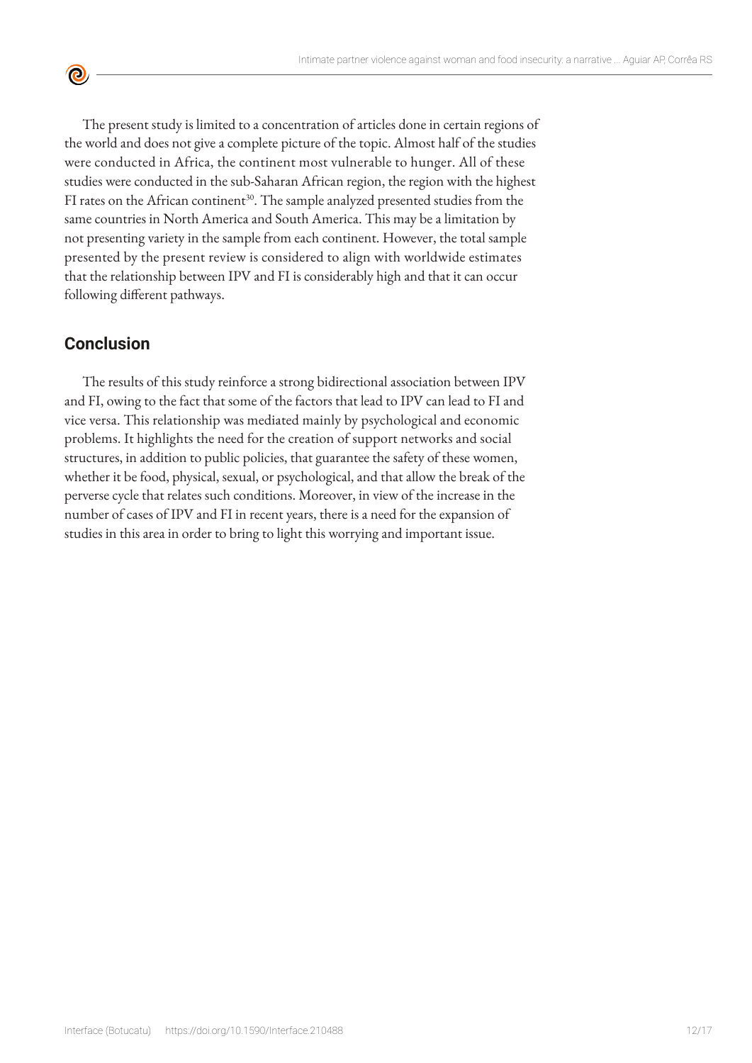The present study is limited to a concentration of articles done in certain regions of the world and does not give a complete picture of the topic. Almost half of the studies were conducted in Africa, the continent most vulnerable to hunger. All of these studies were conducted in the sub-Saharan African region, the region with the highest FI rates on the African continent<sup>30</sup>. The sample analyzed presented studies from the same countries in North America and South America. This may be a limitation by not presenting variety in the sample from each continent. However, the total sample presented by the present review is considered to align with worldwide estimates that the relationship between IPV and FI is considerably high and that it can occur following different pathways.

# **Conclusion**

 $\bullet$ 

The results of this study reinforce a strong bidirectional association between IPV and FI, owing to the fact that some of the factors that lead to IPV can lead to FI and vice versa. This relationship was mediated mainly by psychological and economic problems. It highlights the need for the creation of support networks and social structures, in addition to public policies, that guarantee the safety of these women, whether it be food, physical, sexual, or psychological, and that allow the break of the perverse cycle that relates such conditions. Moreover, in view of the increase in the number of cases of IPV and FI in recent years, there is a need for the expansion of studies in this area in order to bring to light this worrying and important issue.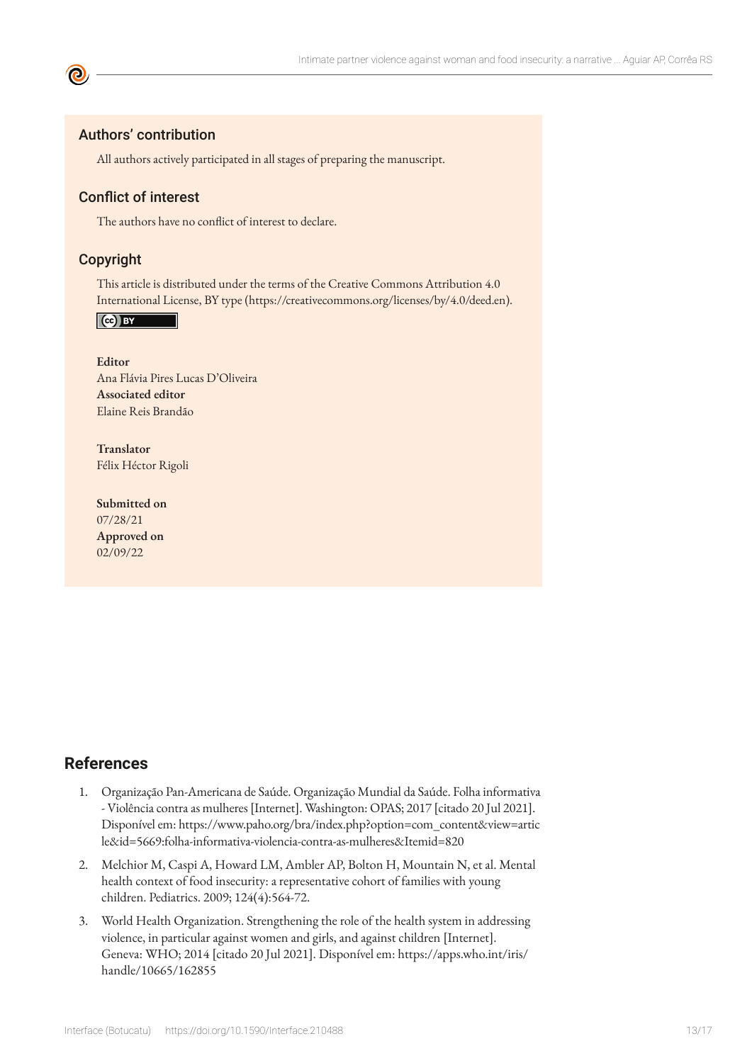#### Authors' contribution

All authors actively participated in all stages of preparing the manuscript.

#### Conflict of interest

The authors have no conflict of interest to declare.

#### Copyright

This article is distributed under the terms of the Creative Commons Attribution 4.0 International License, BY type (https://creativecommons.org/licenses/by/4.0/deed.en).

 $\left($   $\mathbf{C}$   $\mathbf{B}$   $\mathbf{B}$ 

**Editor** Ana Flávia Pires Lucas D'Oliveira **Associated editor** Elaine Reis Brandão

**Translator** Félix Héctor Rigoli

**Submitted on** 07/28/21 **Approved on** 02/09/22

#### **References**

- 1. Organização Pan-Americana de Saúde. Organização Mundial da Saúde. Folha informativa - Violência contra as mulheres [Internet]. Washington: OPAS; 2017 [citado 20 Jul 2021]. Disponível em: [https://www.paho.org/bra/index.php?option=com\\_content&view=artic](https://www.paho.org/bra/index.php?option=com_content&view=article&id=5669:folha-informativa-violencia-contra-as-mulheres&Itemid=820) [le&id=5669:folha-informativa-violencia-contra-as-mulheres&Itemid=820](https://www.paho.org/bra/index.php?option=com_content&view=article&id=5669:folha-informativa-violencia-contra-as-mulheres&Itemid=820)
- 2. Melchior M, Caspi A, Howard LM, Ambler AP, Bolton H, Mountain N, et al. Mental health context of food insecurity: a representative cohort of families with young children. Pediatrics. 2009; 124(4):564-72.
- 3. World Health Organization. Strengthening the role of the health system in addressing violence, in particular against women and girls, and against children [Internet]. Geneva: WHO; 2014 [citado 20 Jul 2021]. Disponível em: https://apps.who.int/iris/ handle/10665/162855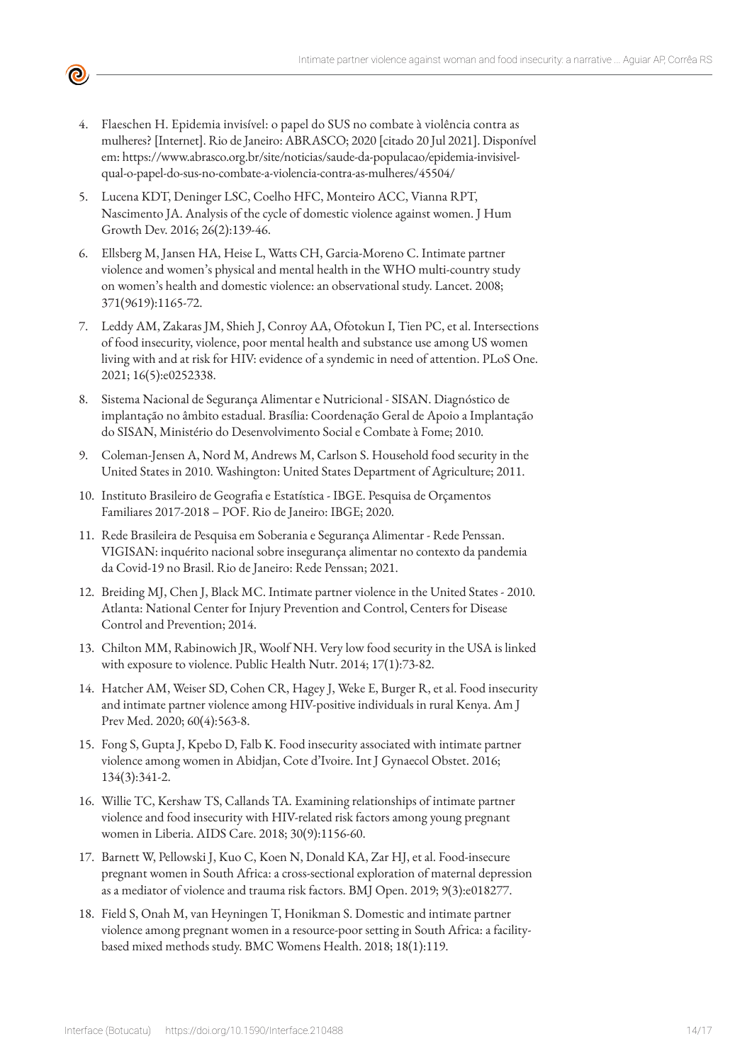- 4. Flaeschen H. Epidemia invisível: o papel do SUS no combate à violência contra as mulheres? [Internet]. Rio de Janeiro: ABRASCO; 2020 [citado 20 Jul 2021]. Disponível em: https://www.abrasco.org.br/site/noticias/saude-da-populacao/epidemia-invisivelqual-o-papel-do-sus-no-combate-a-violencia-contra-as-mulheres/45504/
- 5. Lucena KDT, Deninger LSC, Coelho HFC, Monteiro ACC, Vianna RPT, Nascimento JA. Analysis of the cycle of domestic violence against women. J Hum Growth Dev. 2016; 26(2):139-46.
- 6. Ellsberg M, Jansen HA, Heise L, Watts CH, Garcia-Moreno C. Intimate partner violence and women's physical and mental health in the WHO multi-country study on women's health and domestic violence: an observational study. Lancet. 2008; 371(9619):1165-72.
- 7. Leddy AM, Zakaras JM, Shieh J, Conroy AA, Ofotokun I, Tien PC, et al. Intersections of food insecurity, violence, poor mental health and substance use among US women living with and at risk for HIV: evidence of a syndemic in need of attention. PLoS One. 2021; 16(5):e0252338.
- 8. Sistema Nacional de Segurança Alimentar e Nutricional SISAN. Diagnóstico de implantação no âmbito estadual. Brasília: Coordenação Geral de Apoio a Implantação do SISAN, Ministério do Desenvolvimento Social e Combate à Fome; 2010.
- 9. Coleman-Jensen A, Nord M, Andrews M, Carlson S. Household food security in the United States in 2010. Washington: United States Department of Agriculture; 2011.
- 10. Instituto Brasileiro de Geografia e Estatística IBGE. Pesquisa de Orçamentos Familiares 2017-2018 – POF. Rio de Janeiro: IBGE; 2020.
- 11. Rede Brasileira de Pesquisa em Soberania e Segurança Alimentar Rede Penssan. VIGISAN: inquérito nacional sobre insegurança alimentar no contexto da pandemia da Covid-19 no Brasil. Rio de Janeiro: Rede Penssan; 2021.
- 12. Breiding MJ, Chen J, Black MC. Intimate partner violence in the United States 2010. Atlanta: National Center for Injury Prevention and Control, Centers for Disease Control and Prevention; 2014.
- 13. Chilton MM, Rabinowich JR, Woolf NH. Very low food security in the USA is linked with exposure to violence. Public Health Nutr. 2014; 17(1):73-82.
- 14. Hatcher AM, Weiser SD, Cohen CR, Hagey J, Weke E, Burger R, et al. Food insecurity and intimate partner violence among HIV-positive individuals in rural Kenya. Am J Prev Med. 2020; 60(4):563-8.
- 15. Fong S, Gupta J, Kpebo D, Falb K. Food insecurity associated with intimate partner violence among women in Abidjan, Cote d'Ivoire. Int J Gynaecol Obstet. 2016; 134(3):341-2.
- 16. Willie TC, Kershaw TS, Callands TA. Examining relationships of intimate partner violence and food insecurity with HIV-related risk factors among young pregnant women in Liberia. AIDS Care. 2018; 30(9):1156-60.
- 17. Barnett W, Pellowski J, Kuo C, Koen N, Donald KA, Zar HJ, et al. Food-insecure pregnant women in South Africa: a cross-sectional exploration of maternal depression as a mediator of violence and trauma risk factors. BMJ Open. 2019; 9(3):e018277.
- 18. Field S, Onah M, van Heyningen T, Honikman S. Domestic and intimate partner violence among pregnant women in a resource-poor setting in South Africa: a facilitybased mixed methods study. BMC Womens Health. 2018; 18(1):119.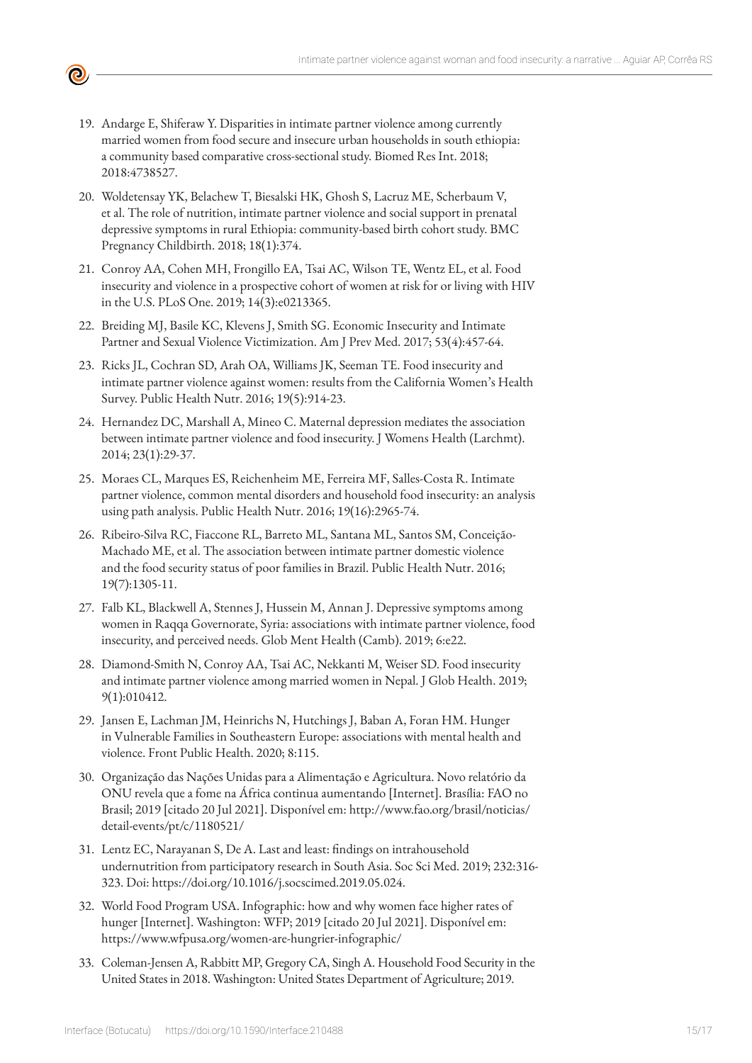- - 19. Andarge E, Shiferaw Y. Disparities in intimate partner violence among currently married women from food secure and insecure urban households in south ethiopia: a community based comparative cross-sectional study. Biomed Res Int. 2018; 2018:4738527.
	- 20. Woldetensay YK, Belachew T, Biesalski HK, Ghosh S, Lacruz ME, Scherbaum V, et al. The role of nutrition, intimate partner violence and social support in prenatal depressive symptoms in rural Ethiopia: community-based birth cohort study. BMC Pregnancy Childbirth. 2018; 18(1):374.
	- 21. Conroy AA, Cohen MH, Frongillo EA, Tsai AC, Wilson TE, Wentz EL, et al. Food insecurity and violence in a prospective cohort of women at risk for or living with HIV in the U.S. PLoS One. 2019; 14(3):e0213365.
	- 22. Breiding MJ, Basile KC, Klevens J, Smith SG. Economic Insecurity and Intimate Partner and Sexual Violence Victimization. Am J Prev Med. 2017; 53(4):457-64.
	- 23. Ricks JL, Cochran SD, Arah OA, Williams JK, Seeman TE. Food insecurity and intimate partner violence against women: results from the California Women's Health Survey. Public Health Nutr. 2016; 19(5):914-23.
	- 24. Hernandez DC, Marshall A, Mineo C. Maternal depression mediates the association between intimate partner violence and food insecurity. J Womens Health (Larchmt). 2014; 23(1):29-37.
	- 25. Moraes CL, Marques ES, Reichenheim ME, Ferreira MF, Salles-Costa R. Intimate partner violence, common mental disorders and household food insecurity: an analysis using path analysis. Public Health Nutr. 2016; 19(16):2965-74.
	- 26. Ribeiro-Silva RC, Fiaccone RL, Barreto ML, Santana ML, Santos SM, Conceição-Machado ME, et al. The association between intimate partner domestic violence and the food security status of poor families in Brazil. Public Health Nutr. 2016; 19(7):1305-11.
	- 27. Falb KL, Blackwell A, Stennes J, Hussein M, Annan J. Depressive symptoms among women in Raqqa Governorate, Syria: associations with intimate partner violence, food insecurity, and perceived needs. Glob Ment Health (Camb). 2019; 6:e22.
	- 28. Diamond-Smith N, Conroy AA, Tsai AC, Nekkanti M, Weiser SD. Food insecurity and intimate partner violence among married women in Nepal. J Glob Health. 2019; 9(1):010412.
	- 29. Jansen E, Lachman JM, Heinrichs N, Hutchings J, Baban A, Foran HM. Hunger in Vulnerable Families in Southeastern Europe: associations with mental health and violence. Front Public Health. 2020; 8:115.
	- 30. Organização das Nações Unidas para a Alimentação e Agricultura. Novo relatório da ONU revela que a fome na África continua aumentando [Internet]. Brasília: FAO no Brasil; 2019 [citado 20 Jul 2021]. Disponível em: [http://www.fao.org/brasil/noticias/](http://www.fao.org/brasil/noticias/detail-events/pt/c/1180521/) [detail-events/pt/c/1180521/](http://www.fao.org/brasil/noticias/detail-events/pt/c/1180521/)
	- 31. Lentz EC, Narayanan S, De A. Last and least: findings on intrahousehold undernutrition from participatory research in South Asia. Soc Sci Med. 2019; 232:316- 323. Doi: https://doi.org/10.1016/j.socscimed.2019.05.024.
	- 32. World Food Program USA. Infographic: how and why women face higher rates of hunger [Internet]. Washington: WFP; 2019 [citado 20 Jul 2021]. Disponível em: <https://www.wfpusa.org/women-are-hungrier-infographic/>
	- 33. Coleman-Jensen A, Rabbitt MP, Gregory CA, Singh A. Household Food Security in the United States in 2018. Washington: United States Department of Agriculture; 2019.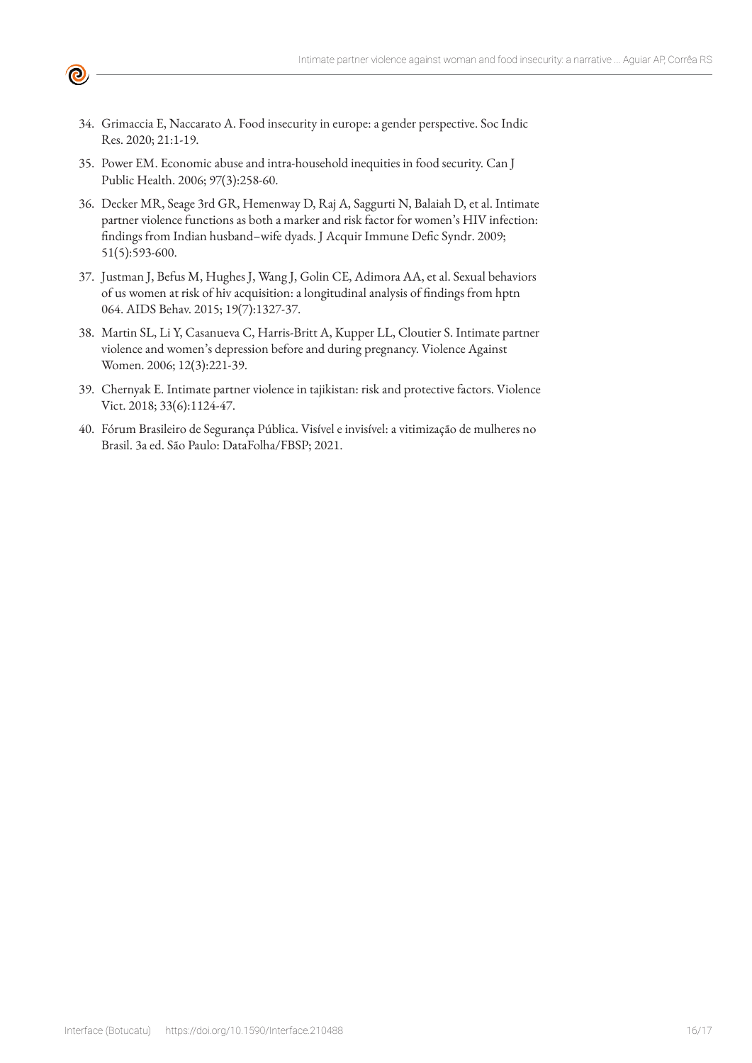34. Grimaccia E, Naccarato A. Food insecurity in europe: a gender perspective. Soc Indic Res. 2020; 21:1-19.

 $\bullet$ 

- 35. Power EM. Economic abuse and intra-household inequities in food security. Can J Public Health. 2006; 97(3):258-60.
- 36. Decker MR, Seage 3rd GR, Hemenway D, Raj A, Saggurti N, Balaiah D, et al. Intimate partner violence functions as both a marker and risk factor for women's HIV infection: findings from Indian husband–wife dyads. J Acquir Immune Defic Syndr. 2009; 51(5):593-600.
- 37. Justman J, Befus M, Hughes J, Wang J, Golin CE, Adimora AA, et al. Sexual behaviors of us women at risk of hiv acquisition: a longitudinal analysis of findings from hptn 064. AIDS Behav. 2015; 19(7):1327-37.
- 38. Martin SL, Li Y, Casanueva C, Harris-Britt A, Kupper LL, Cloutier S. Intimate partner violence and women's depression before and during pregnancy. Violence Against Women. 2006; 12(3):221-39.
- 39. Chernyak E. Intimate partner violence in tajikistan: risk and protective factors. Violence Vict. 2018; 33(6):1124-47.
- 40. Fórum Brasileiro de Segurança Pública. Visível e invisível: a vitimização de mulheres no Brasil. 3a ed. São Paulo: DataFolha/FBSP; 2021.